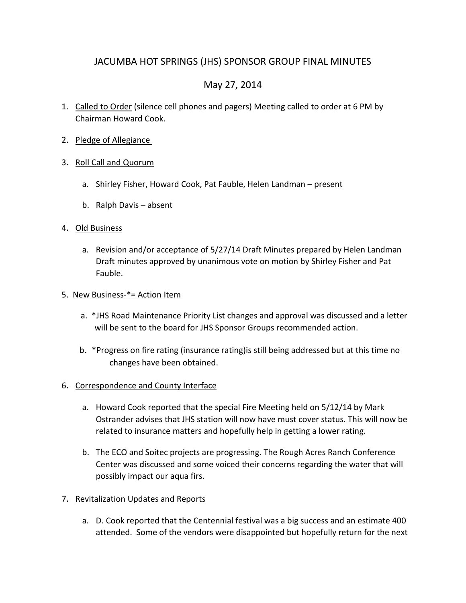## JACUMBA HOT SPRINGS (JHS) SPONSOR GROUP FINAL MINUTES

# May 27, 2014

- 1. Called to Order (silence cell phones and pagers) Meeting called to order at 6 PM by Chairman Howard Cook.
- 2. Pledge of Allegiance
- 3. Roll Call and Quorum
	- a. Shirley Fisher, Howard Cook, Pat Fauble, Helen Landman present
	- b. Ralph Davis absent

#### 4. Old Business

a. Revision and/or acceptance of 5/27/14 Draft Minutes prepared by Helen Landman Draft minutes approved by unanimous vote on motion by Shirley Fisher and Pat **Fauble.** The contract of the contract of the contract of the contract of the contract of the contract of the contract of the contract of the contract of the contract of the contract of the contract of the contract of the

#### 5. New Business-\*= Action Item

- a. \*JHS Road Maintenance Priority List changes and approval was discussed and a letter will be sent to the board for JHS Sponsor Groups recommended action.
- b. \*Progress on fire rating (insurance rating)is still being addressed but at this time no changes have been obtained.

#### 6. Correspondence and County Interface

- a. Howard Cook reported that the special Fire Meeting held on 5/12/14 by Mark Ostrander advises that JHS station will now have must cover status. This will now be related to insurance matters and hopefully help in getting a lower rating.
- b. The ECO and Soitec projects are progressing. The Rough Acres Ranch Conference Center was discussed and some voiced their concerns regarding the water that will possibly impact our aqua firs.
- 7. Revitalization Updates and Reports
	- a. D. Cook reported that the Centennial festival was a big success and an estimate 400 attended. Some of the vendors were disappointed but hopefully return for the next